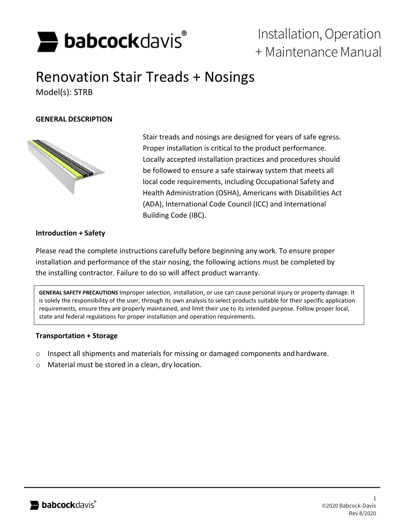

# Installation, Operation + Maintenance Manual

## Renovation Stair Treads + Nosings

Model(s): STRB

### **GENERAL DESCRIPTION**



Stair treads and nosings are designed for years of safe egress. Proper installation is critical to the product performance. Locally accepted installation practices and procedures should be followed to ensure a safe stairway system that meets all local code requirements, including Occupational Safety and Health Administration (OSHA), Americans with Disabilities Act (ADA), International Code Council (ICC) and International Building Code (IBC).

#### **Introduction + Safety**

Please read the complete instructions carefully before beginning any work. To ensure proper installation and performance of the stair nosing, the following actions must be completed by the installing contractor. Failure to do so will affect product warranty.

**GENERAL SAFETY PRECAUTIONS** Improper selection, installation, or use can cause personal injury or property damage. It is solely the responsibility of the user, through its own analysis to select products suitable for their specific application requirements, ensure they are properly maintained, and limit their use to its intended purpose. Follow proper local, state and federal regulations for proper installation and operation requirements.

#### **Transportation + Storage**

- $\circ$  Inspect all shipments and materials for missing or damaged components and hardware.
- o Material must be stored in a clean, dry location.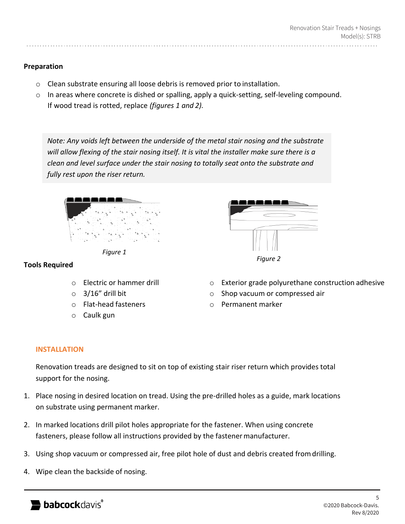#### **Preparation**

- o Clean substrate ensuring all loose debris is removed prior to installation.
- o In areas where concrete is dished or spalling, apply a quick-setting, self-leveling compound. If wood tread is rotted, replace *(figures 1 and 2).*

*Note: Any voids left between the underside of the metal stair nosing and the substrate will allow flexing of the stair nosing itself. It is vital the installer make sure there is a clean and level surface under the stair nosing to totally seat onto the substrate and fully rest upon the riser return.*





#### **Tools Required**

- o Electric or hammer drill
- $\circ$  3/16" drill bit
- o Flat-head fasteners
- o Caulk gun



- o Exterior grade polyurethane construction adhesive
- o Shop vacuum or compressed air
- o Permanent marker

#### **INSTALLATION**

Renovation treads are designed to sit on top of existing stair riser return which provides total support for the nosing.

- 1. Place nosing in desired location on tread. Using the pre-drilled holes as a guide, mark locations on substrate using permanent marker.
- 2. In marked locations drill pilot holes appropriate for the fastener. When using concrete fasteners, please follow all instructions provided by the fastener manufacturer.
- 3. Using shop vacuum or compressed air, free pilot hole of dust and debris created fromdrilling.
- 4. Wipe clean the backside of nosing.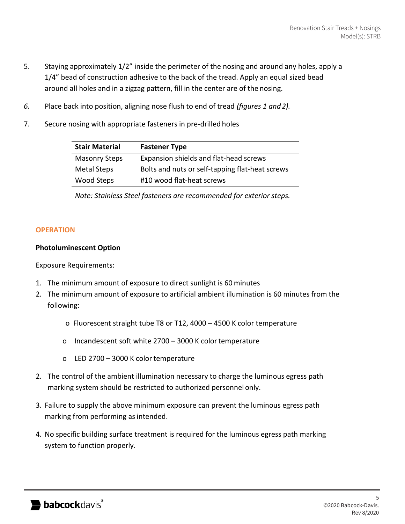- 5. Staying approximately 1/2" inside the perimeter of the nosing and around any holes, apply a 1/4" bead of construction adhesive to the back of the tread. Apply an equal sized bead around all holes and in a zigzag pattern, fill in the center are of the nosing.
- *6.* Place back into position, aligning nose flush to end of tread *(figures 1 and2).*
- 7. Secure nosing with appropriate fasteners in pre-drilled holes

| <b>Stair Material</b> | <b>Fastener Type</b>                            |
|-----------------------|-------------------------------------------------|
| <b>Masonry Steps</b>  | Expansion shields and flat-head screws          |
| <b>Metal Steps</b>    | Bolts and nuts or self-tapping flat-heat screws |
| Wood Steps            | #10 wood flat-heat screws                       |

*Note: Stainless Steel fasteners are recommended for exterior steps.*

## **OPERATION**

## **Photoluminescent Option**

Exposure Requirements:

- 1. The minimum amount of exposure to direct sunlight is 60 minutes
- 2. The minimum amount of exposure to artificial ambient illumination is 60 minutes from the following:
	- o Fluorescent straight tube T8 or T12, 4000 4500 K color temperature
	- o Incandescent soft white 2700 3000 K colortemperature
	- o LED 2700 3000 K color temperature
- 2. The control of the ambient illumination necessary to charge the luminous egress path marking system should be restricted to authorized personnel only.
- 3. Failure to supply the above minimum exposure can prevent the luminous egress path marking from performing as intended.
- 4. No specific building surface treatment is required for the luminous egress path marking system to function properly.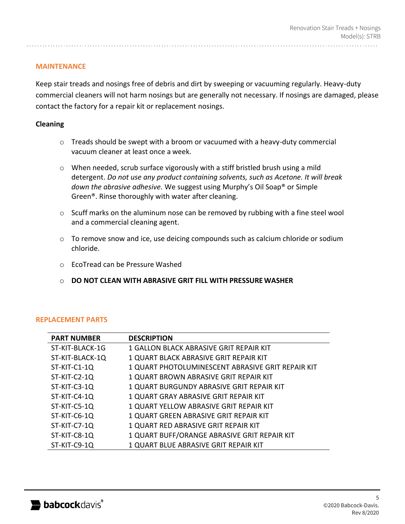#### **MAINTENANCE**

Keep stair treads and nosings free of debris and dirt by sweeping or vacuuming regularly. Heavy-duty commercial cleaners will not harm nosings but are generally not necessary. If nosings are damaged, please contact the factory for a repair kit or replacement nosings.

#### **Cleaning**

- o Treads should be swept with a broom or vacuumed with a heavy-duty commercial vacuum cleaner at least once a week.
- $\circ$  When needed, scrub surface vigorously with a stiff bristled brush using a mild detergent. *Do not use any product containing solvents, such as Acetone. It will break down the abrasive adhesive.* We suggest using Murphy's Oil Soap® or Simple Green®. Rinse thoroughly with water after cleaning.
- $\circ$  Scuff marks on the aluminum nose can be removed by rubbing with a fine steel wool and a commercial cleaning agent.
- $\circ$  To remove snow and ice, use deicing compounds such as calcium chloride or sodium chloride.
- o EcoTread can be Pressure Washed
- o **DO NOT CLEAN WITH ABRASIVE GRIT FILL WITH PRESSUREWASHER**

| <b>PART NUMBER</b> | <b>DESCRIPTION</b>                                |
|--------------------|---------------------------------------------------|
| ST-KIT-BLACK-1G    | 1 GALLON BLACK ABRASIVE GRIT REPAIR KIT           |
| ST-KIT-BLACK-1Q    | 1 QUART BLACK ABRASIVE GRIT REPAIR KIT            |
| ST-KIT-C1-1Q       | 1 QUART PHOTOLUMINESCENT ABRASIVE GRIT REPAIR KIT |
| ST-KIT-C2-1Q       | 1 QUART BROWN ABRASIVE GRIT REPAIR KIT            |
| ST-KIT-C3-1Q       | 1 QUART BURGUNDY ABRASIVE GRIT REPAIR KIT         |
| ST-KIT-C4-1Q       | 1 QUART GRAY ABRASIVE GRIT REPAIR KIT             |
| ST-KIT-C5-1Q       | 1 QUART YELLOW ABRASIVE GRIT REPAIR KIT           |
| ST-KIT-C6-1Q       | 1 QUART GREEN ABRASIVE GRIT REPAIR KIT            |
| ST-KIT-C7-1Q       | 1 QUART RED ABRASIVE GRIT REPAIR KIT              |
| ST-KIT-C8-1Q       | 1 QUART BUFF/ORANGE ABRASIVE GRIT REPAIR KIT      |
| ST-KIT-C9-1Q       | 1 QUART BLUE ABRASIVE GRIT REPAIR KIT             |

#### **REPLACEMENT PARTS**